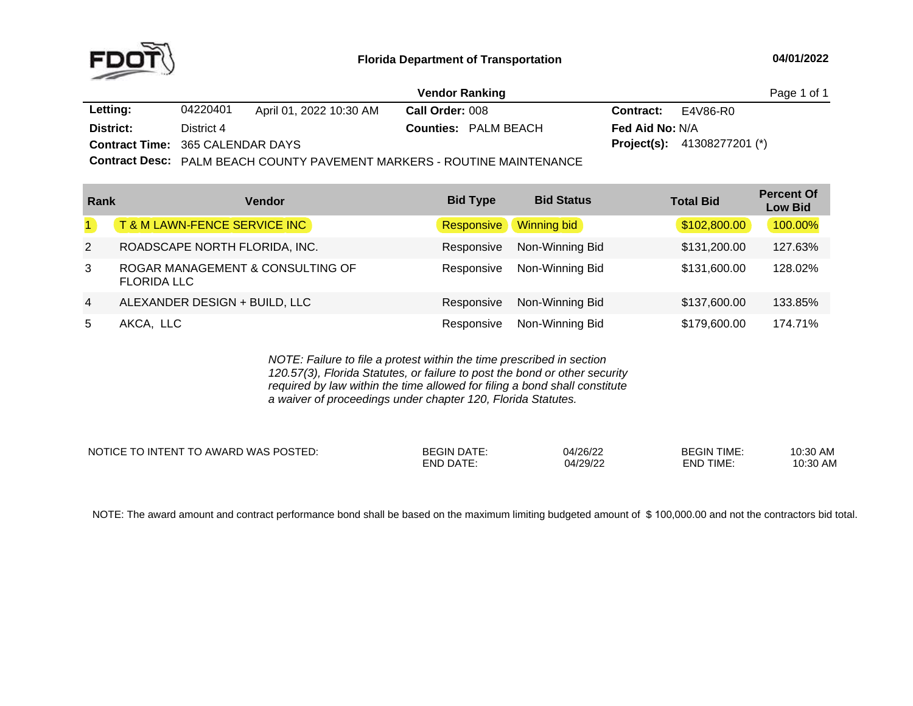

|                                         |            |                         | <b>Vendor Ranking</b>       |                        | Page 1 of 1                          |
|-----------------------------------------|------------|-------------------------|-----------------------------|------------------------|--------------------------------------|
| Letting:                                | 04220401   | April 01, 2022 10:30 AM | Call Order: 008             | <b>Contract:</b>       | E4V86-R0                             |
| District:                               | District 4 |                         | <b>Counties: PALM BEACH</b> | <b>Fed Aid No:</b> N/A |                                      |
| <b>Contract Time: 365 CALENDAR DAYS</b> |            |                         |                             |                        | <b>Project(s):</b> $41308277201$ (*) |
| .                                       |            |                         |                             |                        |                                      |

**Contract Desc:** PALM BEACH COUNTY PAVEMENT MARKERS - ROUTINE MAINTENANCE

| Rank           | <b>Vendor</b>                                          | <b>Bid Type</b> | <b>Bid Status</b> | <b>Total Bid</b> | <b>Percent Of</b><br><b>Low Bid</b> |
|----------------|--------------------------------------------------------|-----------------|-------------------|------------------|-------------------------------------|
| $\mathbf{1}$   | T&M LAWN-FENCE SERVICE INC                             | Responsive      | Winning bid       | \$102,800.00     | 100.00%                             |
| $\overline{2}$ | ROADSCAPE NORTH FLORIDA, INC.                          | Responsive      | Non-Winning Bid   | \$131,200.00     | 127.63%                             |
| 3              | ROGAR MANAGEMENT & CONSULTING OF<br><b>FLORIDA LLC</b> | Responsive      | Non-Winning Bid   | \$131,600.00     | 128.02%                             |
| $\overline{4}$ | ALEXANDER DESIGN + BUILD, LLC                          | Responsive      | Non-Winning Bid   | \$137,600.00     | 133.85%                             |
| 5              | AKCA, LLC                                              | Responsive      | Non-Winning Bid   | \$179,600.00     | 174.71%                             |

*NOTE: Failure to file <sup>a</sup> protest within the time prescribed in section 120.57(3), Florida Statutes, or failure to post the bond or other security required by law within the time allowed for filing <sup>a</sup> bond shall constitute a waiver of proceedings under chapter 120, Florida Statutes.*

NOTICE TO INTENT TO AWARD WAS POSTED: BEGIN DATE: 04/26/22 BEGIN TIME: 10:30 AM 10:30 AM END DATE: 04/29/22 END TIME:

NOTE: The award amount and contract performance bond shall be based on the maximum limiting budgeted amount of \$ 100,000.00 and not the contractors bid total.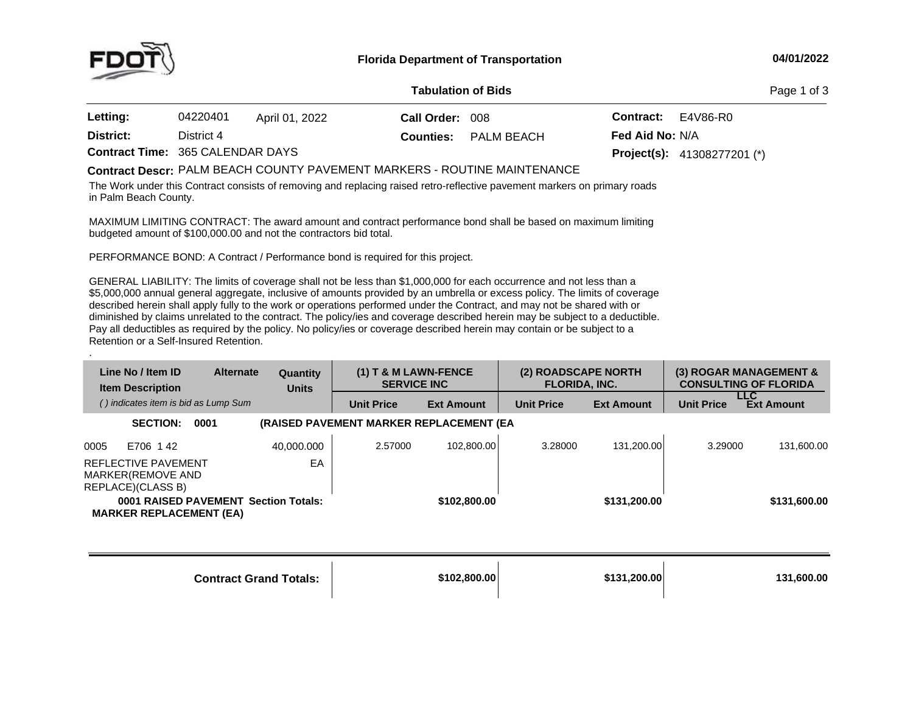

### **04/01/2022**

### **Tabulation**

Page 1 of 3

| Letting:  | 04220401                                | April 01, 2022 | Call Order: 008 |                             |                        | <b>Contract:</b> E4V86-R0            |
|-----------|-----------------------------------------|----------------|-----------------|-----------------------------|------------------------|--------------------------------------|
| District: | District 4                              |                |                 | <b>Counties:</b> PALM BEACH | <b>Fed Aid No: N/A</b> |                                      |
|           | <b>Contract Time: 365 CALENDAR DAYS</b> |                |                 |                             |                        | <b>Project(s):</b> $41308277201$ (*) |

# **Contract Descr:** PALM BEACH COUNTY PAVEMENT MARKERS - ROUTINE MAINTENANCE<br>The West of the Contract of the Contract of the Contract of the Contract of the Contract of the Contract of The

The Work under this Contract consists of removing and replacing raised retro-reflective pavement markers on primary roads<br>. in Palm Beach County.

MAXIMUM LIMITING CONTRACT: The award amount and contract performance bond shall be based on maximum limiting<br>budgeted amount of \$400,000,00 and pot the contractors bid total budgeted amount of \$100,000.00 and not the contractors bid total.

PERFORMANCE BOND: <sup>A</sup> Contract / Performance bond is required for this project.

GENERAL LIABILITY: The limits of coverage shall not be less than \$1,000,000 for each occurrence and not less than a<br>An access to all that \$5,000,000 annual general aggregate, inclusive of amounts provided by an umbrella or excess policy. The limits of coverage described herein shall apply fully to the work or operations performed under the Contract, and may not be shared with or diminished by claims unrelated to the contract. The policy/ies and coverage described herein may be subject to <sup>a</sup> deductible. Pay all deductibles as required by the policy. No policy/ies or coverage described herein may contain or be subject to <sup>a</sup> Retention or <sup>a</sup> Self-Insured Retention.

| Line No / Item ID<br><b>Item Description</b>                           | <b>Alternate</b> | Quantity<br><b>Units</b> | $(1)$ T & M LAWN-FENCE<br><b>SERVICE INC</b> |                   | (2) ROADSCAPE NORTH<br><b>FLORIDA, INC.</b> |                   |                   | (3) ROGAR MANAGEMENT &<br><b>CONSULTING OF FLORIDA</b> |
|------------------------------------------------------------------------|------------------|--------------------------|----------------------------------------------|-------------------|---------------------------------------------|-------------------|-------------------|--------------------------------------------------------|
| () indicates item is bid as Lump Sum                                   |                  |                          | <b>Unit Price</b>                            | <b>Ext Amount</b> | <b>Unit Price</b>                           | <b>Ext Amount</b> | <b>Unit Price</b> | <b>LLC</b><br><b>Ext Amount</b>                        |
| <b>SECTION:</b><br>0001                                                |                  |                          | (RAISED PAVEMENT MARKER REPLACEMENT (EA      |                   |                                             |                   |                   |                                                        |
| 0005<br>E706 142                                                       |                  | 40.000.000               | 2.57000                                      | 102.800.00        | 3.28000                                     | 131.200.00        | 3.29000           | 131,600.00                                             |
| REFLECTIVE PAVEMENT<br>MARKER(REMOVE AND<br>REPLACE)(CLASS B)          |                  | EA                       |                                              |                   |                                             |                   |                   |                                                        |
| 0001 RAISED PAVEMENT Section Totals:<br><b>MARKER REPLACEMENT (EA)</b> |                  |                          |                                              | \$102,800,00      |                                             | \$131,200,00      |                   | \$131,600.00                                           |

| <b>Contract Grand Totals:</b> | \$102.800.00 | \$131.200.00 l | 131.600.00 |
|-------------------------------|--------------|----------------|------------|
|                               |              |                |            |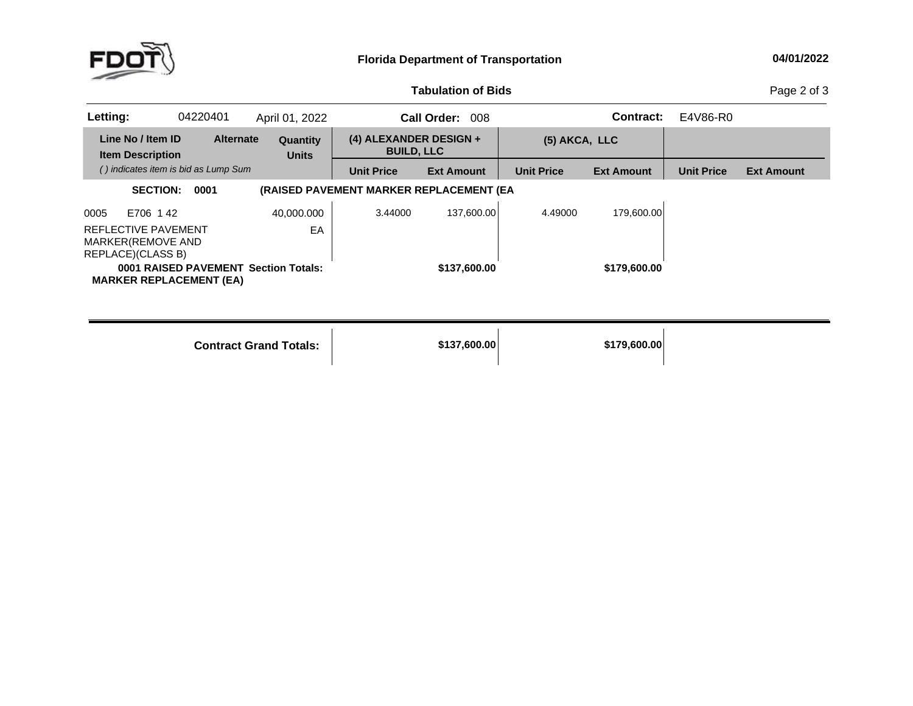

## **04/01/2022**

## **Tabulation**

Page 2 of 3

| Letting: |                                                               | 04220401                             | April 01, 2022                       |                                               | Call Order:<br>008 |                   | Contract:         | E4V86-R0          |                   |
|----------|---------------------------------------------------------------|--------------------------------------|--------------------------------------|-----------------------------------------------|--------------------|-------------------|-------------------|-------------------|-------------------|
|          | Line No / Item ID<br><b>Item Description</b>                  | <b>Alternate</b>                     | <b>Quantity</b><br><b>Units</b>      | $(4)$ ALEXANDER DESIGN +<br><b>BUILD, LLC</b> |                    | (5) AKCA, LLC     |                   |                   |                   |
|          |                                                               | () indicates item is bid as Lump Sum |                                      | <b>Unit Price</b>                             | <b>Ext Amount</b>  | <b>Unit Price</b> | <b>Ext Amount</b> | <b>Unit Price</b> | <b>Ext Amount</b> |
|          | <b>SECTION:</b>                                               | 0001                                 |                                      | (RAISED PAVEMENT MARKER REPLACEMENT (EA       |                    |                   |                   |                   |                   |
| 0005     | E706 142                                                      |                                      | 40.000.000                           | 3.44000                                       | 137.600.00         | 4.49000           | 179.600.00        |                   |                   |
|          | REFLECTIVE PAVEMENT<br>MARKER(REMOVE AND<br>REPLACE)(CLASS B) |                                      | EA                                   |                                               |                    |                   |                   |                   |                   |
|          |                                                               | <b>MARKER REPLACEMENT (EA)</b>       | 0001 RAISED PAVEMENT Section Totals: |                                               | \$137,600.00       |                   | \$179,600,00      |                   |                   |

**Contract Grand**

**Totals: \$137,600.00 \$179,600.00**